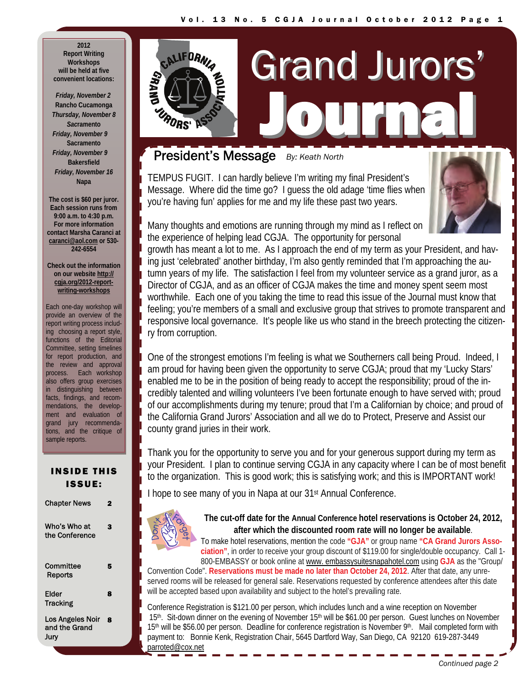**2012 Report Writing Workshops will be held at five convenient locations:** 

**GNV85** 

 *Friday, November 2*  **Rancho Cucamonga** *Thursday, November 8 Sac***ramento** *Friday, November 9*  **Sacramento** *Friday, November 9*  **Bakersfield** *Friday, November 16*  **Napa** 

**The cost is \$60 per juror. Each session runs from 9:00 a.m. to 4:30 p.m. For more information contact Marsha Caranci at [caranci@aol.com](mailto:Caranci@aol.com) or 530- 242-6554** 

**Check out the information on our [website](http://cgja.org/2012-report-writing-workshops) [http://](http://cgja.org/2012-report-writing-workshops) [cgja.org/2012-report](http://cgja.org/2012-report-writing-workshops)[writing-workshops](http://cgja.org/2012-report-writing-workshops)**

Each one-day workshop will provide an overview of the report writing process including choosing a report style, functions of the Editorial Committee, setting timelines for report production, and the review and approval process. Each workshop also offers group exercises in distinguishing between facts, findings, and recommendations, the development and evaluation of grand jury recommendations, and the critique of sample reports.

### INSIDE THIS ISSUE:

| <b>Chapter News</b>                       |   |
|-------------------------------------------|---|
| Who's Who at<br>the Conference            | 3 |
| Committee<br>Reports                      | 5 |
| Elder<br><b>Tracking</b>                  | 8 |
| Los Angeles Noir<br>and the Grand<br>Jurv | Զ |

# CALIFORNIA Grand Jurors' Journal Journal URORS'

## President's Message *By: Keath North*

TEMPUS FUGIT. I can hardly believe I'm writing my final President's Message. Where did the time go? I guess the old adage 'time flies when you're having fun' applies for me and my life these past two years.



Many thoughts and emotions are running through my mind as I reflect on the experience of helping lead CGJA. The opportunity for personal

growth has meant a lot to me. As I approach the end of my term as your President, and having just 'celebrated' another birthday, I'm also gently reminded that I'm approaching the autumn years of my life. The satisfaction I feel from my volunteer service as a grand juror, as a Director of CGJA, and as an officer of CGJA makes the time and money spent seem most worthwhile. Each one of you taking the time to read this issue of the Journal must know that feeling; you're members of a small and exclusive group that strives to promote transparent and responsive local governance. It's people like us who stand in the breech protecting the citizenry from corruption.

One of the strongest emotions I'm feeling is what we Southerners call being Proud. Indeed, I am proud for having been given the opportunity to serve CGJA; proud that my 'Lucky Stars' enabled me to be in the position of being ready to accept the responsibility; proud of the incredibly talented and willing volunteers I've been fortunate enough to have served with; proud of our accomplishments during my tenure; proud that I'm a Californian by choice; and proud of the California Grand Jurors' Association and all we do to Protect, Preserve and Assist our county grand juries in their work.

Thank you for the opportunity to serve you and for your generous support during my term as your President. I plan to continue serving CGJA in any capacity where I can be of most benefit to the organization. This is good work; this is satisfying work; and this is IMPORTANT work!

I hope to see many of you in Napa at our 31st Annual Conference.



**The cut-off date for the Annual Conference hotel reservations is October 24, 2012, after which the discounted room rate will no longer be available**.

To make hotel reservations, mention the code **"GJA"** or group name **"CA Grand Jurors Association"**, in order to receive your group discount of \$119.00 for single/double occupancy. Call 1- 800-EMBASSY or book online at [www. embassysuitesnapahotel.com](http://www.napavalley.embassysuites.com/) using **GJA** as the "Group/

Convention Code". **Reservations must be made no later than October 24, 2012**. After that date, any unreserved rooms will be released for general sale. Reservations requested by conference attendees after this date will be accepted based upon availability and subject to the hotel's prevailing rate.

Conference Registration is \$121.00 per person, which includes lunch and a wine reception on November 15<sup>th</sup>. Sit-down dinner on the evening of November 15<sup>th</sup> will be \$61.00 per person. Guest lunches on November 15<sup>th</sup> will be \$56.00 per person. Deadline for conference registration is November 9<sup>th</sup>. Mail completed form with payment to: Bonnie Kenk, Registration Chair, 5645 Dartford Way, San Diego, CA 92120 619-287-3449 [parroted@cox.net](mailto:parroted@cox.net)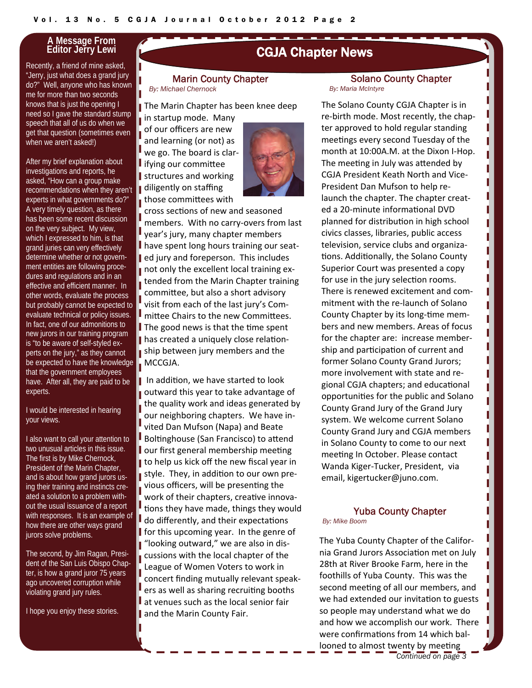### **A Message From Editor Jerry Lewi**

Recently, a friend of mine asked, "Jerry, just what does a grand jury do?" Well, anyone who has known me for more than two seconds knows that is just the opening I need so I gave the standard stump speech that all of us do when we get that question (sometimes even when we aren't asked!)

After my brief explanation about investigations and reports, he asked, "How can a group make recommendations when they aren't experts in what governments do?" A very timely question, as there has been some recent discussion on the very subject. My view, which I expressed to him, is that grand juries can very effectively determine whether or not government entities are following procedures and regulations and in an effective and efficient manner. In other words, evaluate the process but probably cannot be expected to evaluate technical or policy issues. In fact, one of our admonitions to new jurors in our training program is "to be aware of self-styled experts on the jury," as they cannot be expected to have the knowledge that the government employees have. After all, they are paid to be experts.

I would be interested in hearing your views.

I also want to call your attention to two unusual articles in this issue. The first is by Mike Chernock, President of the Marin Chapter, and is about how grand jurors using their training and instincts created a solution to a problem without the usual issuance of a report with responses. It is an example of how there are other ways grand jurors solve problems.

The second, by Jim Ragan, President of the San Luis Obispo Chapter, is how a grand juror 75 years ago uncovered corruption while violating grand jury rules.

I hope you enjoy these stories.

## CGJA Chapter News

#### Marin County Chapter *By: Michael Chernock*

The Marin Chapter has been knee deep in startup mode. Many

of our officers are new and learning (or not) as we go. The board is clar- $\blacksquare$  ifying our committee structures and working diligently on staffing those committees with



cross sections of new and seasoned members. With no carry‐overs from last year's jury, many chapter members have spent long hours training our seat‐ ed jury and foreperson. This includes not only the excellent local training extended from the Marin Chapter training committee, but also a short advisory visit from each of the last jury's Com‐ mittee Chairs to the new Committees.  $\blacksquare$  The good news is that the time spent has created a uniquely close relationship between jury members and the MCCGJA.

I In addition, we have started to look outward this year to take advantage of the quality work and ideas generated by our neighboring chapters. We have in‐ vited Dan Mufson (Napa) and Beate Boltinghouse (San Francisco) to attend our first general membership meeting I to help us kick off the new fiscal year in style. They, in addition to our own previous officers, will be presenting the work of their chapters, creative innovations they have made, things they would do differently, and their expectations for this upcoming year. In the genre of ■ "looking outward," we are also in discussions with the local chapter of the League of Women Voters to work in concert finding mutually relevant speak‐ ers as well as sharing recruiting booths at venues such as the local senior fair and the Marin County Fair.

#### Solano County Chapter *By: Maria McIntyre*

The Solano County CGJA Chapter is in re‐birth mode. Most recently, the chap‐ ter approved to hold regular standing meetings every second Tuesday of the month at 10:00A.M. at the Dixon I‐Hop. The meeting in July was attended by CGJA President Keath North and Vice‐ President Dan Mufson to help re‐ launch the chapter. The chapter creat‐ ed a 20‐minute informaƟonal DVD planned for distribution in high school civics classes, libraries, public access television, service clubs and organiza‐ tions. Additionally, the Solano County Superior Court was presented a copy for use in the jury selection rooms. There is renewed excitement and com‐ mitment with the re‐launch of Solano County Chapter by its long-time members and new members. Areas of focus for the chapter are: increase member‐ ship and participation of current and former Solano County Grand Jurors; more involvement with state and re‐ gional CGJA chapters; and educational opportuniƟes for the public and Solano County Grand Jury of the Grand Jury system. We welcome current Solano County Grand Jury and CGJA members in Solano County to come to our next meeting In October. Please contact Wanda Kiger‐Tucker, President, via email, kigertucker@juno.com.

ı

П П Ш ı П

П

Ш Ш

ı

## Yuba County Chapter

*By: Mike Boom*

*Continued on page 3*  The Yuba County Chapter of the Califor‐ nia Grand Jurors Association met on July 28th at River Brooke Farm, here in the foothills of Yuba County. This was the second meeting of all our members, and we had extended our invitation to guests so people may understand what we do and how we accomplish our work. There were confirmations from 14 which ballooned to almost twenty by meeting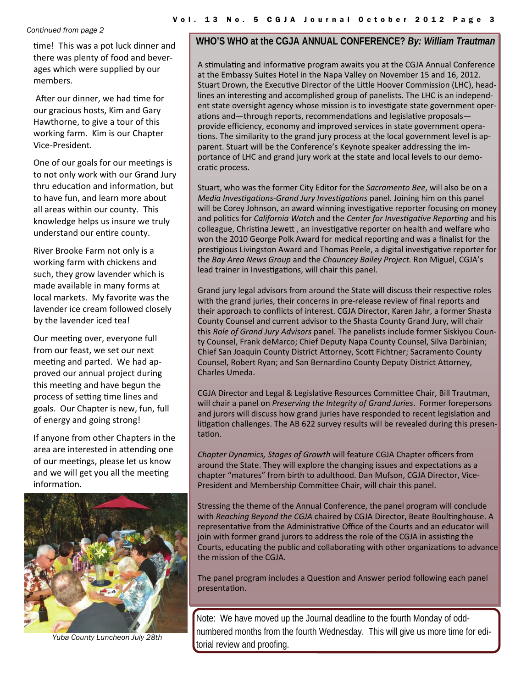#### *Continued from page 2*

time! This was a pot luck dinner and there was plenty of food and bever‐ ages which were supplied by our members.

After our dinner, we had time for our gracious hosts, Kim and Gary Hawthorne, to give a tour of this working farm. Kim is our Chapter Vice‐President.

One of our goals for our meetings is to not only work with our Grand Jury thru education and information, but to have fun, and learn more about all areas within our county. This knowledge helps us insure we truly understand our entire county.

River Brooke Farm not only is a working farm with chickens and such, they grow lavender which is made available in many forms at local markets. My favorite was the lavender ice cream followed closely by the lavender iced tea!

Our meeting over, everyone full from our feast, we set our next meeting and parted. We had approved our annual project during this meeting and have begun the process of setting time lines and goals. Our Chapter is new, fun, full of energy and going strong!

If anyone from other Chapters in the area are interested in attending one of our meetings, please let us know and we will get you all the meeting informaƟon.



### **WHO'S WHO at the CGJA ANNUAL CONFERENCE?** *By: William Trautman*

A stimulating and informative program awaits you at the CGJA Annual Conference at the Embassy Suites Hotel in the Napa Valley on November 15 and 16, 2012. Stuart Drown, the Executive Director of the Little Hoover Commission (LHC), headlines an interesting and accomplished group of panelists. The LHC is an independent state oversight agency whose mission is to investigate state government operations and—through reports, recommendations and legislative proposalsprovide efficiency, economy and improved services in state government opera‐ tions. The similarity to the grand jury process at the local government level is apparent. Stuart will be the Conference's Keynote speaker addressing the im‐ portance of LHC and grand jury work at the state and local levels to our demo‐ cratic process.

Stuart, who was the former City Editor for the *Sacramento Bee*, will also be on a *Media InvesƟgaƟons‐Grand Jury InvesƟgaƟons* panel. Joining him on this panel will be Corey Johnson, an award winning investigative reporter focusing on money and poliƟcs for *California Watch* and the *Center for InvesƟgaƟve ReporƟng* and his colleague, Christina Jewett, an investigative reporter on health and welfare who won the 2010 George Polk Award for medical reporting and was a finalist for the prestigious Livingston Award and Thomas Peele, a digital investigative reporter for the *Bay Area News Group* and the *Chauncey Bailey Project.* Ron Miguel, CGJA's lead trainer in Investigations, will chair this panel.

Grand jury legal advisors from around the State will discuss their respective roles with the grand juries, their concerns in pre-release review of final reports and their approach to conflicts of interest. CGJA Director, Karen Jahr, a former Shasta County Counsel and current advisor to the Shasta County Grand Jury, will chair this *Role of Grand Jury Advisors* panel. The panelists include former Siskiyou Coun‐ ty Counsel, Frank deMarco; Chief Deputy Napa County Counsel, Silva Darbinian; Chief San Joaquin County District Attorney, Scott Fichtner; Sacramento County Counsel, Robert Ryan; and San Bernardino County Deputy District Attorney, Charles Umeda.

CGJA Director and Legal & Legislative Resources Committee Chair, Bill Trautman, will chair a panel on *Preserving the Integrity of Grand Juries*. Former forepersons and jurors will discuss how grand juries have responded to recent legislation and litigation challenges. The AB 622 survey results will be revealed during this presentation.

*Chapter Dynamics, Stages of Growth* will feature CGJA Chapter officers from around the State. They will explore the changing issues and expectations as a chapter "matures" from birth to adulthood. Dan Mufson, CGJA Director, Vice‐ President and Membership Committee Chair, will chair this panel.

Stressing the theme of the Annual Conference, the panel program will conclude with *Reaching Beyond the CGJA* chaired by CGJA Director, Beate Boultinghouse. A representative from the Administrative Office of the Courts and an educator will join with former grand jurors to address the role of the CGJA in assisting the Courts, educating the public and collaborating with other organizations to advance the mission of the CGJA.

The panel program includes a Question and Answer period following each panel presentaƟon.

Note: We have moved up the Journal deadline to the fourth Monday of oddnumbered months from the fourth Wednesday. This will give us more time for editorial review and proofing. *Yuba County Luncheon July 28th*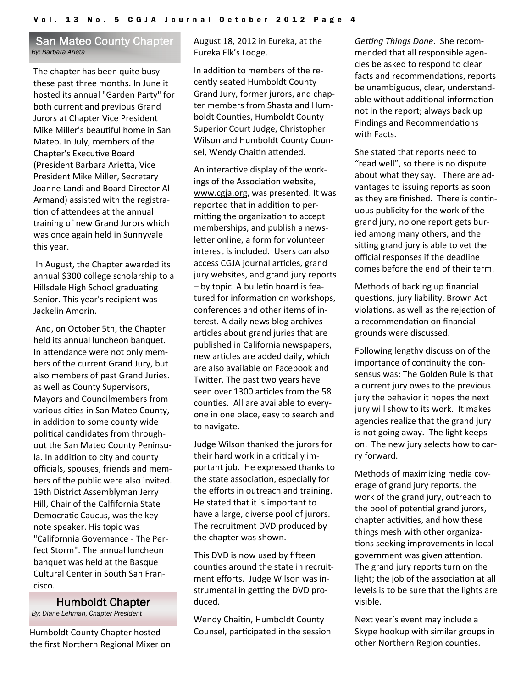### San Mateo County Chapter *By: Barbara Arieta*

The chapter has been quite busy these past three months. In June it hosted its annual "Garden Party" for both current and previous Grand Jurors at Chapter Vice President Mike Miller's beauƟful home in San Mateo. In July, members of the Chapter's ExecuƟve Board (President Barbara Arietta, Vice President Mike Miller, Secretary Joanne Landi and Board Director Al Armand) assisted with the registra‐ tion of attendees at the annual training of new Grand Jurors which was once again held in Sunnyvale this year.

In August, the Chapter awarded its annual \$300 college scholarship to a Hillsdale High School graduating Senior. This year's recipient was Jackelin Amorin.

And, on October 5th, the Chapter held its annual luncheon banquet. In attendance were not only members of the current Grand Jury, but also members of past Grand Juries. as well as County Supervisors, Mayors and Councilmembers from various cities in San Mateo County, in addition to some county wide political candidates from throughout the San Mateo County Peninsu‐ la. In addition to city and county officials, spouses, friends and mem‐ bers of the public were also invited. 19th District Assemblyman Jerry Hill, Chair of the Calfifornia State Democratic Caucus, was the keynote speaker. His topic was "Californnia Governance ‐ The Per‐ fect Storm". The annual luncheon banquet was held at the Basque Cultural Center in South San Fran‐ cisco.

### Humboldt Chapter

*By: Diane Lehman, Chapter President* 

Humboldt County Chapter hosted the first Northern Regional Mixer on August 18, 2012 in Eureka, at the Eureka Elk's Lodge.

In addition to members of the recently seated Humboldt County Grand Jury, former jurors, and chap‐ ter members from Shasta and Hum‐ boldt Counties, Humboldt County Superior Court Judge, Christopher Wilson and Humboldt County Coun‐ sel, Wendy Chaitin attended.

An interactive display of the workings of the Association website, [www.cgja.org,](http://www.cgja.org/) was presented. It was reported that in addition to permitting the organization to accept memberships, and publish a news‐ letter online, a form for volunteer interest is included. Users can also access CGJA journal articles, grand jury websites, and grand jury reports – by topic. A bulleƟn board is fea‐ tured for information on workshops, conferences and other items of in‐ terest. A daily news blog archives articles about grand juries that are published in California newspapers, new articles are added daily, which are also available on Facebook and Twitter. The past two years have seen over 1300 articles from the 58 counties. All are available to everyone in one place, easy to search and to navigate.

Judge Wilson thanked the jurors for their hard work in a critically important job. He expressed thanks to the state association, especially for the efforts in outreach and training. He stated that it is important to have a large, diverse pool of jurors. The recruitment DVD produced by the chapter was shown.

This DVD is now used by fifteen counties around the state in recruitment efforts. Judge Wilson was in‐ strumental in getting the DVD produced.

Wendy Chaitin, Humboldt County Counsel, participated in the session *Geƫng Things Done*. She recom‐ mended that all responsible agen‐ cies be asked to respond to clear facts and recommendations, reports be unambiguous, clear, understand‐ able without additional information not in the report; always back up Findings and Recommendations with Facts.

She stated that reports need to "read well", so there is no dispute about what they say. There are advantages to issuing reports as soon as they are finished. There is continuous publicity for the work of the grand jury, no one report gets bur‐ ied among many others, and the sitting grand jury is able to vet the official responses if the deadline comes before the end of their term.

Methods of backing up financial questions, jury liability, Brown Act violations, as well as the rejection of a recommendation on financial grounds were discussed.

Following lengthy discussion of the importance of continuity the consensus was: The Golden Rule is that a current jury owes to the previous jury the behavior it hopes the next jury will show to its work. It makes agencies realize that the grand jury is not going away. The light keeps on. The new jury selects how to car‐ ry forward.

Methods of maximizing media cov‐ erage of grand jury reports, the work of the grand jury, outreach to the pool of potential grand jurors, chapter activities, and how these things mesh with other organiza‐ tions seeking improvements in local government was given attention. The grand jury reports turn on the light; the job of the association at all levels is to be sure that the lights are visible.

Next year's event may include a Skype hookup with similar groups in other Northern Region counties.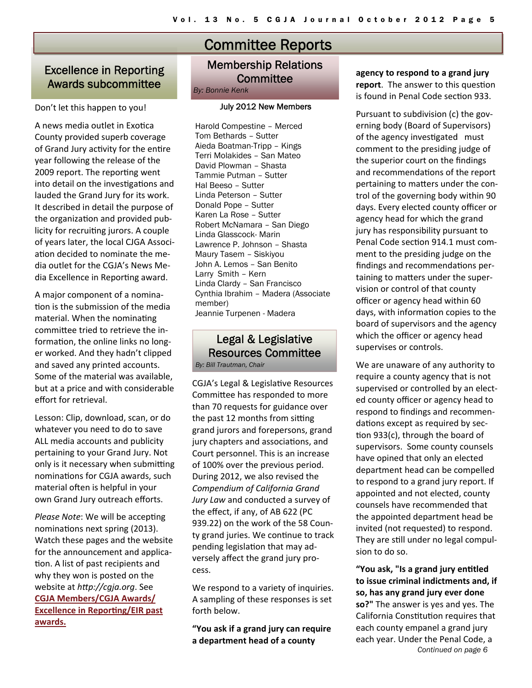## Excellence in Reporting Awards subcommittee

### Don't let this happen to you!

A news media outlet in Exotica County provided superb coverage of Grand Jury activity for the entire year following the release of the 2009 report. The reporting went into detail on the investigations and lauded the Grand Jury for its work. It described in detail the purpose of the organization and provided publicity for recruiting jurors. A couple of years later, the local CJGA Associ‐ ation decided to nominate the media outlet for the CGJA's News Me‐ dia Excellence in Reporting award.

A major component of a nomina‐ tion is the submission of the media material. When the nominating committee tried to retrieve the information, the online links no longer worked. And they hadn't clipped and saved any printed accounts. Some of the material was available, but at a price and with considerable effort for retrieval.

Lesson: Clip, download, scan, or do whatever you need to do to save ALL media accounts and publicity pertaining to your Grand Jury. Not only is it necessary when submitting nominations for CGJA awards, such material often is helpful in your own Grand Jury outreach efforts.

*Please Note:* We will be accepting nominations next spring (2013). Watch these pages and the website for the announcement and application. A list of past recipients and why they won is posted on the website at *hƩp://cgja.org*. See **CGJA [Members/CGJA](http://cgja.org/eir-past-awards) Awards/ [Excellence](http://cgja.org/eir-past-awards) in Reporting/EIR past [awards.](http://cgja.org/eir-past-awards)**

# Committee Reports

## Membership Relations **Committee**

*By: Bonnie Kenk* 

### July 2012 New Members

Harold Compestine – Merced Tom Bethards – Sutter Aieda Boatman-Tripp – Kings Terri Molakides – San Mateo David Plowman – Shasta Tammie Putman – Sutter Hal Beeso – Sutter Linda Peterson – Sutter Donald Pope – Sutter Karen La Rose – Sutter Robert McNamara – San Diego Linda Glasscock- Marin Lawrence P. Johnson – Shasta Maury Tasem – Siskiyou John A. Lemos – San Benito Larry Smith – Kern Linda Clardy – San Francisco Cynthia Ibrahim – Madera (Associate member) Jeannie Turpenen - Madera

## Legal & Legislative Resources Committee

*By: Bill Trautman, Chair* 

CGJA's Legal & LegislaƟve Resources Committee has responded to more than 70 requests for guidance over the past 12 months from sitting grand jurors and forepersons, grand jury chapters and associations, and Court personnel. This is an increase of 100% over the previous period. During 2012, we also revised the *Compendium of California Grand Jury Law* and conducted a survey of the effect, if any, of AB 622 (PC 939.22) on the work of the 58 Coun‐ ty grand juries. We continue to track pending legislation that may adversely affect the grand jury pro‐ cess.

We respond to a variety of inquiries. A sampling of these responses is set forth below.

**"You ask if a grand jury can require a department head of a county**

**agency to respond to a grand jury report**. The answer to this question is found in Penal Code section 933.

Pursuant to subdivision (c) the gov‐ erning body (Board of Supervisors) of the agency investigated must comment to the presiding judge of the superior court on the findings and recommendations of the report pertaining to matters under the control of the governing body within 90 days. Every elected county officer or agency head for which the grand jury has responsibility pursuant to Penal Code section 914.1 must comment to the presiding judge on the findings and recommendations pertaining to matters under the supervision or control of that county officer or agency head within 60 days, with information copies to the board of supervisors and the agency which the officer or agency head supervises or controls.

We are unaware of any authority to require a county agency that is not supervised or controlled by an elect‐ ed county officer or agency head to respond to findings and recommen‐ dations except as required by section 933(c), through the board of supervisors. Some county counsels have opined that only an elected department head can be compelled to respond to a grand jury report. If appointed and not elected, county counsels have recommended that the appointed department head be invited (not requested) to respond. They are still under no legal compulsion to do so.

*Continued on page 6*  **"You ask, "Is a grand jury enƟtled to issue criminal indictments and, if so, has any grand jury ever done so?"** The answer is yes and yes. The California Constitution requires that each county empanel a grand jury each year. Under the Penal Code, a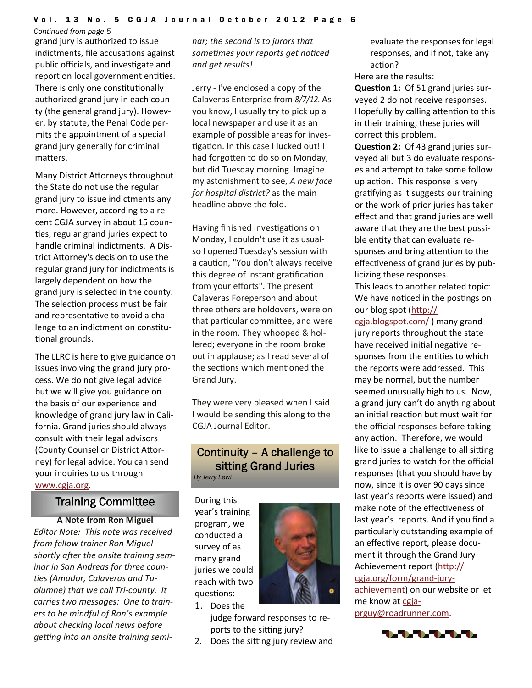#### *Continued from page 5*

grand jury is authorized to issue indictments, file accusations against public officials, and investigate and report on local government entities. There is only one constitutionally authorized grand jury in each coun‐ ty (the general grand jury). Howev‐ er, by statute, the Penal Code per‐ mits the appointment of a special grand jury generally for criminal matters.

Many District Attorneys throughout the State do not use the regular grand jury to issue indictments any more. However, according to a re‐ cent CGJA survey in about 15 coun‐ ties, regular grand juries expect to handle criminal indictments. A Dis‐ trict Attorney's decision to use the regular grand jury for indictments is largely dependent on how the grand jury is selected in the county. The selection process must be fair and representative to avoid a challenge to an indictment on constitutional grounds.

The LLRC is here to give guidance on issues involving the grand jury pro‐ cess. We do not give legal advice but we will give you guidance on the basis of our experience and knowledge of grand jury law in Cali‐ fornia. Grand juries should always consult with their legal advisors (County Counsel or District Attorney) for legal advice. You can send your inquiries to us through [www.cgja.org](http://www.cgja.org/).

## Training Committee

**A Note from Ron Miguel** *Editor Note: This note was received from fellow trainer Ron Miguel shortly after the onsite training seminar in San Andreas for three coun‐ Ɵes (Amador, Calaveras and Tu‐ olumne) that we call Tri‐county. It carries two messages: One to train‐ ers to be mindful of Ron's example about checking local news before geƫng into an onsite training semi‐*

*nar; the second is to jurors that someƟmes your reports get noƟced and get results!*

Jerry ‐ I've enclosed a copy of the Calaveras Enterprise from *8/7/12.* As you know, I usually try to pick up a local newspaper and use it as an example of possible areas for inves‐ tigation. In this case I lucked out! I had forgotten to do so on Monday, but did Tuesday morning. Imagine my astonishment to see, *A new face for hospital district?* as the main headline above the fold.

Having finished Investigations on Monday, I couldn't use it as usual‐ so I opened Tuesday's session with a caution, "You don't always receive this degree of instant gratification from your efforts". The present Calaveras Foreperson and about three others are holdovers, were on that particular committee, and were in the room. They whooped & hol‐ lered; everyone in the room broke out in applause; as I read several of the sections which mentioned the Grand Jury.

They were very pleased when I said I would be sending this along to the CGJA Journal Editor.

## Continuity – A challenge to sitting Grand Juries

*By Jerry Lewi* 

During this year's training program, we conducted a survey of as many grand juries we could reach with two questions: 1. Does the



judge forward responses to re‐ ports to the sitting jury?

2. Does the sitting jury review and

evaluate the responses for legal responses, and if not, take any action?

Here are the results:

**QuesƟon 1:** Of 51 grand juries sur‐ veyed 2 do not receive responses. Hopefully by calling attention to this in their training, these juries will correct this problem.

**Question 2:** Of 43 grand juries surveyed all but 3 do evaluate respons‐ es and attempt to take some follow up action. This response is very gratifying as it suggests our training or the work of prior juries has taken effect and that grand juries are well aware that they are the best possi‐ ble entity that can evaluate responses and bring attention to the effectiveness of grand juries by publicizing these responses.

This leads to another related topic: We have noticed in the postings on our blog spot (htt[p://](http://cgja.blogspot.com/)

[cgja.blogspot.com/](http://cgja.blogspot.com/) ) many grand jury reports throughout the state have received initial negative responses from the entities to which the reports were addressed. This may be normal, but the number seemed unusually high to us. Now, a grand jury can't do anything about an initial reaction but must wait for the official responses before taking any action. Therefore, we would like to issue a challenge to all sitting grand juries to watch for the official responses (that you should have by now, since it is over 90 days since last year's reports were issued) and make note of the effectiveness of last year's reports. And if you find a particularly outstanding example of an effective report, please document it through the Grand Jury Achievement report (htt[p://](http://cgja.org/form/grand-jury-achievement) [cgja.org/form/grand](http://cgja.org/form/grand-jury-achievement)‐jury‐ [achievement](http://cgja.org/form/grand-jury-achievement)) on our website or let me know at [cgja](mailto:cgjaprguy@roadrunner.com)-

[prguy@roadrunner.com](mailto:cgjaprguy@roadrunner.com).

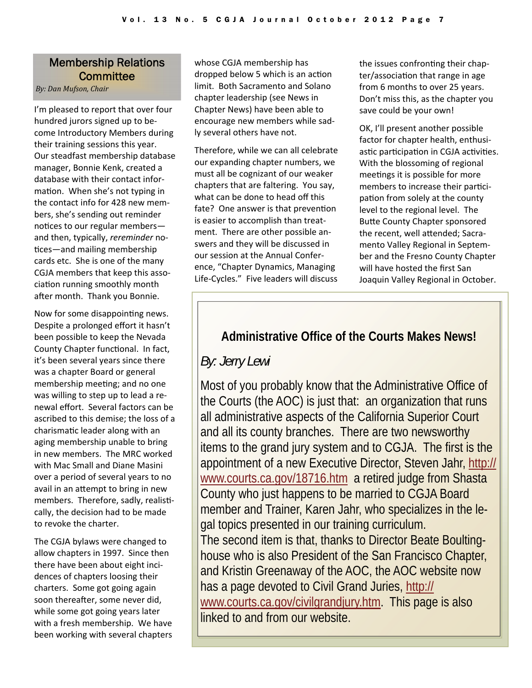### Membership Relations **Committee**

*By: Dan Mufson, Chair*

I'm pleased to report that over four hundred jurors signed up to be‐ come Introductory Members during their training sessions this year. Our steadfast membership database manager, Bonnie Kenk, created a database with their contact infor‐ mation. When she's not typing in the contact info for 428 new mem‐ bers, she's sending out reminder notices to our regular members and then, typically, *rereminder* no‐ tices—and mailing membership cards etc. She is one of the many CGJA members that keep this asso‐ ciation running smoothly month after month. Thank you Bonnie.

Now for some disappointing news. Despite a prolonged effort it hasn't been possible to keep the Nevada County Chapter functional. In fact, it's been several years since there was a chapter Board or general membership meeting; and no one was willing to step up to lead a re‐ newal effort. Several factors can be ascribed to this demise; the loss of a charismaƟc leader along with an aging membership unable to bring in new members. The MRC worked with Mac Small and Diane Masini over a period of several years to no avail in an attempt to bring in new members. Therefore, sadly, realistically, the decision had to be made to revoke the charter.

The CGJA bylaws were changed to allow chapters in 1997. Since then there have been about eight inci‐ dences of chapters loosing their charters. Some got going again soon thereafter, some never did, while some got going years later with a fresh membership. We have been working with several chapters whose CGJA membership has dropped below 5 which is an action limit. Both Sacramento and Solano chapter leadership (see News in Chapter News) have been able to encourage new members while sad‐ ly several others have not.

Therefore, while we can all celebrate our expanding chapter numbers, we must all be cognizant of our weaker chapters that are faltering. You say, what can be done to head off this fate? One answer is that prevention is easier to accomplish than treat‐ ment. There are other possible answers and they will be discussed in our session at the Annual Confer‐ ence, "Chapter Dynamics, Managing Life‐Cycles." Five leaders will discuss the issues confronting their chapter/association that range in age from 6 months to over 25 years. Don't miss this, as the chapter you save could be your own!

OK, I'll present another possible factor for chapter health, enthusi‐ astic participation in CGJA activities. With the blossoming of regional meetings it is possible for more members to increase their participation from solely at the county level to the regional level. The Butte County Chapter sponsored the recent, well attended; Sacramento Valley Regional in Septem‐ ber and the Fresno County Chapter will have hosted the first San Joaquin Valley Regional in October.

## **Administrative Office of the Courts Makes News!**

*By: Jerry Lewi* 

Most of you probably know that the Administrative Office of the Courts (the AOC) is just that: an organization that runs all administrative aspects of the California Superior Court and all its county branches. There are two newsworthy items to the grand jury system and to CGJA. The first is the appointment of a new Executive Director, Steven Jahr, [http://](http://www.courts.ca.gov/18716.htm) [www.courts.ca.gov/18716.htm](http://www.courts.ca.gov/18716.htm) a retired judge from Shasta County who just happens to be married to CGJA Board member and Trainer, Karen Jahr, who specializes in the legal topics presented in our training curriculum. The second item is that, thanks to Director Beate Boultinghouse who is also President of the San Francisco Chapter, and Kristin Greenaway of the AOC, the AOC website now has a page devoted to Civil Grand Juries, [http://](http://www.courts.ca.gov/civilgrandjury.htm) [www.courts.ca.gov/civilgrandjury.htm.](http://www.courts.ca.gov/civilgrandjury.htm) This page is also linked to and from our website.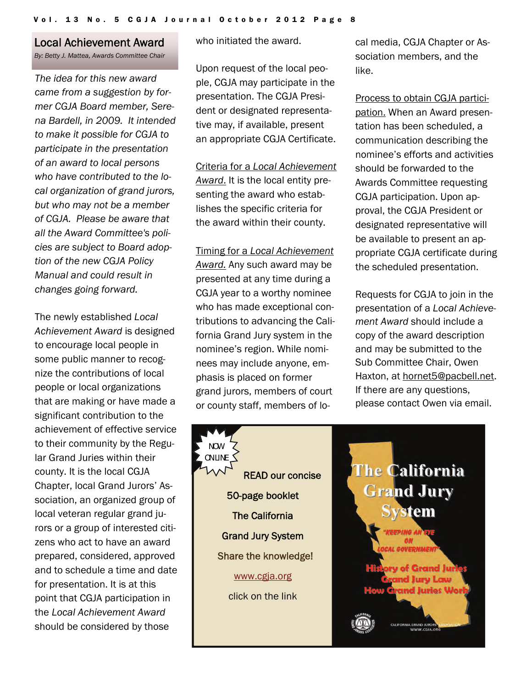## Local Achievement Award

*By: Betty J. Mattea, Awards Committee Chair*

*The idea for this new award came from a suggestion by former CGJA Board member, Serena Bardell, in 2009. It intended to make it possible for CGJA to participate in the presentation of an award to local persons who have contributed to the local organization of grand jurors, but who may not be a member of CGJA. Please be aware that all the Award Committee's policies are subject to Board adoption of the new CGJA Policy Manual and could result in changes going forward.* 

The newly established *Local Achievement Award* is designed to encourage local people in some public manner to recognize the contributions of local people or local organizations that are making or have made a significant contribution to the achievement of effective service to their community by the Regular Grand Juries within their county. It is the local CGJA Chapter, local Grand Jurors' Association, an organized group of local veteran regular grand jurors or a group of interested citizens who act to have an award prepared, considered, approved and to schedule a time and date for presentation. It is at this point that CGJA participation in the *Local Achievement Award* should be considered by those

who initiated the award.

Upon request of the local people, CGJA may participate in the presentation. The CGJA President or designated representative may, if available, present an appropriate CGJA Certificate.

Criteria for a *Local Achievement Award*. It is the local entity presenting the award who establishes the specific criteria for the award within their county.

Timing for a *Local Achievement Award.* Any such award may be presented at any time during a CGJA year to a worthy nominee who has made exceptional contributions to advancing the California Grand Jury system in the nominee's region. While nominees may include anyone, emphasis is placed on former grand jurors, members of court or county staff, members of lo-

READ our concise

50-page booklet

NOW ON LINE

The California

Grand Jury System

Share the knowledge!

[www.cgja.org](http://www.cgja.org) 

click on the link

cal media, CGJA Chapter or Association members, and the like.

Process to obtain CGJA participation. When an Award presentation has been scheduled, a communication describing the nominee's efforts and activities should be forwarded to the Awards Committee requesting CGJA participation. Upon approval, the CGJA President or designated representative will be available to present an appropriate CGJA certificate during the scheduled presentation.

Requests for CGJA to join in the presentation of a *Local Achievement Award* should include a copy of the award description and may be submitted to the Sub Committee Chair, Owen Haxton, at [hornet5@pacbell.net.](mailto:hornet5@pacbell.net) If there are any questions, please contact Owen via email.

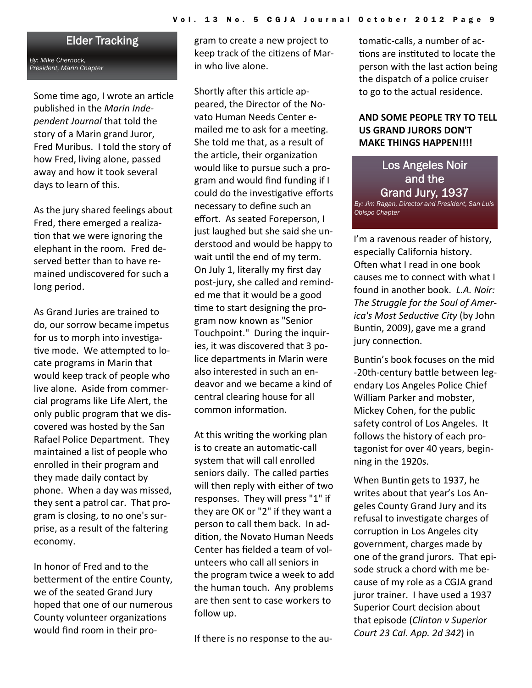## Elder Tracking

*By: Mike Chernock, President, Marin Chapter* 

Some time ago, I wrote an article published in the *Marin Inde‐ pendent Journal* that told the story of a Marin grand Juror, Fred Muribus. I told the story of how Fred, living alone, passed away and how it took several days to learn of this.

As the jury shared feelings about Fred, there emerged a realiza‐ tion that we were ignoring the elephant in the room. Fred de‐ served better than to have remained undiscovered for such a long period.

As Grand Juries are trained to do, our sorrow became impetus for us to morph into investigative mode. We attempted to locate programs in Marin that would keep track of people who live alone. Aside from commer‐ cial programs like Life Alert, the only public program that we dis‐ covered was hosted by the San Rafael Police Department. They maintained a list of people who enrolled in their program and they made daily contact by phone. When a day was missed, they sent a patrol car. That pro‐ gram is closing, to no one's sur‐ prise, as a result of the faltering economy.

In honor of Fred and to the betterment of the entire County, we of the seated Grand Jury hoped that one of our numerous County volunteer organizations would find room in their pro‐

gram to create a new project to keep track of the citizens of Marin who live alone.

Shortly after this article appeared, the Director of the No‐ vato Human Needs Center e‐ mailed me to ask for a meeting. She told me that, as a result of the article, their organization would like to pursue such a pro‐ gram and would find funding if I could do the investigative efforts necessary to define such an effort. As seated Foreperson, I just laughed but she said she un‐ derstood and would be happy to wait until the end of my term. On July 1, literally my first day post‐jury, she called and remind‐ ed me that it would be a good time to start designing the program now known as "Senior Touchpoint." During the inquir‐ ies, it was discovered that 3 po‐ lice departments in Marin were also interested in such an en‐ deavor and we became a kind of central clearing house for all common information.

At this writing the working plan is to create an automatic-call system that will call enrolled seniors daily. The called parties will then reply with either of two responses. They will press "1" if they are OK or "2" if they want a person to call them back. In ad‐ dition, the Novato Human Needs Center has fielded a team of vol‐ unteers who call all seniors in the program twice a week to add the human touch. Any problems are then sent to case workers to follow up.

If there is no response to the au‐

tomatic-calls, a number of actions are instituted to locate the person with the last action being the dispatch of a police cruiser to go to the actual residence.

### **AND SOME PEOPLE TRY TO TELL US GRAND JURORS DON'T MAKE THINGS HAPPEN!!!!**

Los Angeles Noir and the Grand Jury, 1937 *By: Jim Ragan, Director and President, San Luis Obispo Chapter* 

I'm a ravenous reader of history, especially California history. Often what I read in one book causes me to connect with what I found in another book. *L.A. Noir: The Struggle for the Soul of Amer‐ ica's Most SeducƟve City* (by John Buntin, 2009), gave me a grand jury connection.

Buntin's book focuses on the mid -20th-century battle between legendary Los Angeles Police Chief William Parker and mobster, Mickey Cohen, for the public safety control of Los Angeles. It follows the history of each pro‐ tagonist for over 40 years, begin‐ ning in the 1920s.

When Buntin gets to 1937, he writes about that year's Los An‐ geles County Grand Jury and its refusal to investigate charges of corruption in Los Angeles city government, charges made by one of the grand jurors. That epi‐ sode struck a chord with me be‐ cause of my role as a CGJA grand juror trainer. I have used a 1937 Superior Court decision about that episode (*Clinton v Superior Court 23 Cal. App. 2d 342*) in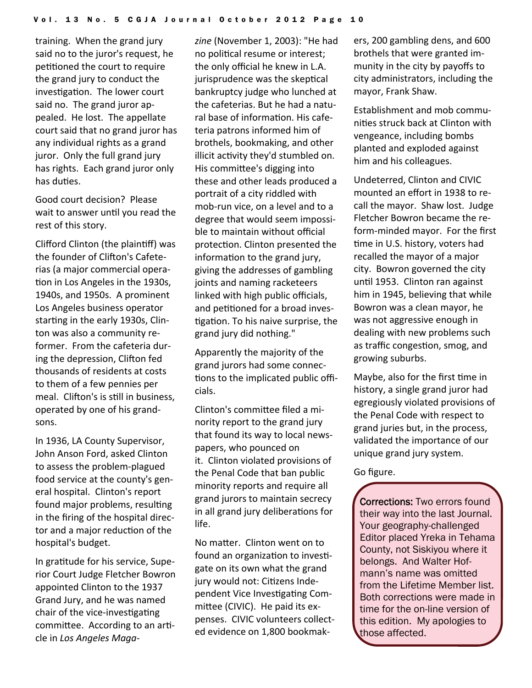training. When the grand jury said no to the juror's request, he petitioned the court to require the grand jury to conduct the investigation. The lower court said no. The grand juror appealed. He lost. The appellate court said that no grand juror has any individual rights as a grand juror. Only the full grand jury has rights. Each grand juror only has duties.

Good court decision? Please wait to answer until you read the rest of this story.

Clifford Clinton (the plainƟff) was the founder of Clifton's Cafeterias (a major commercial opera‐ tion in Los Angeles in the 1930s, 1940s, and 1950s. A prominent Los Angeles business operator starting in the early 1930s, Clinton was also a community re‐ former. From the cafeteria dur‐ ing the depression, Clifton fed thousands of residents at costs to them of a few pennies per meal. Clifton's is still in business, operated by one of his grand‐ sons.

In 1936, LA County Supervisor, John Anson Ford, asked Clinton to assess the problem‐plagued food service at the county's gen‐ eral hospital. Clinton's report found major problems, resulting in the firing of the hospital direc‐ tor and a major reduction of the hospital's budget.

In gratitude for his service, Superior Court Judge Fletcher Bowron appointed Clinton to the 1937 Grand Jury, and he was named chair of the vice-investigating committee. According to an article in *Los Angeles Maga‐*

*zine* (November 1, 2003): "He had no political resume or interest; the only official he knew in L.A. jurisprudence was the skeptical bankruptcy judge who lunched at the cafeterias. But he had a natu‐ ral base of information. His cafeteria patrons informed him of brothels, bookmaking, and other illicit activity they'd stumbled on. His committee's digging into these and other leads produced a portrait of a city riddled with mob‐run vice, on a level and to a degree that would seem impossi‐ ble to maintain without official protection. Clinton presented the information to the grand jury, giving the addresses of gambling joints and naming racketeers linked with high public officials, and petitioned for a broad investigation. To his naive surprise, the grand jury did nothing."

Apparently the majority of the grand jurors had some connec‐ tions to the implicated public officials.

Clinton's commiƩee filed a mi‐ nority report to the grand jury that found its way to local news‐ papers, who pounced on it. Clinton violated provisions of the Penal Code that ban public minority reports and require all grand jurors to maintain secrecy in all grand jury deliberations for life.

No matter. Clinton went on to found an organization to investigate on its own what the grand jury would not: Citizens Independent Vice Investigating Committee (CIVIC). He paid its expenses. CIVIC volunteers collect‐ ed evidence on 1,800 bookmak‐

ers, 200 gambling dens, and 600 brothels that were granted im‐ munity in the city by payoffs to city administrators, including the mayor, Frank Shaw.

Establishment and mob commu‐ nities struck back at Clinton with vengeance, including bombs planted and exploded against him and his colleagues.

Undeterred, Clinton and CIVIC mounted an effort in 1938 to re‐ call the mayor. Shaw lost. Judge Fletcher Bowron became the re‐ form‐minded mayor. For the first time in U.S. history, voters had recalled the mayor of a major city. Bowron governed the city until 1953. Clinton ran against him in 1945, believing that while Bowron was a clean mayor, he was not aggressive enough in dealing with new problems such as traffic congestion, smog, and growing suburbs.

Maybe, also for the first time in history, a single grand juror had egregiously violated provisions of the Penal Code with respect to grand juries but, in the process, validated the importance of our unique grand jury system.

### Go figure.

Corrections: Two errors found their way into the last Journal. Your geography-challenged Editor placed Yreka in Tehama County, not Siskiyou where it belongs. And Walter Hofmann's name was omitted from the Lifetime Member list. Both corrections were made in time for the on-line version of this edition. My apologies to those affected.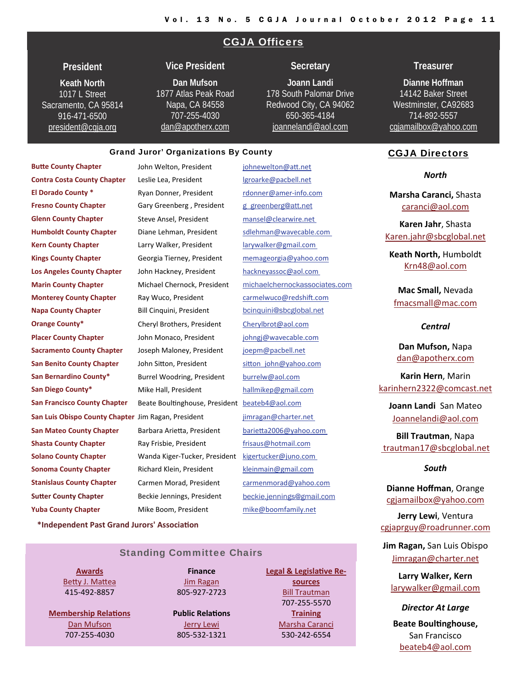### CGJA Officers

### **President**

**Keath North**  1017 L Street Sacramento, CA 95814 916-471-6500 [president@cgja.org](mailto:president@cgja.org)

### **Vice President**

### **Dan Mufson** 1877 Atlas Peak Road Napa, CA 84558 707-255-4030 [dan@apotherx.com](mailto:dan@apotherx.com)

### **Secretary**

**Joann Landi** 178 South Palomar Drive Redwood City, CA 94062 650-365-4184 [joannelandi@aol.com](mailto:Joannelandi@aol.com)

#### Grand Juror' Organizations By County

**Butte County Chapter County Chapter Butte County Chapter County** Chapter **County** Chapter **County** Chapter **County** Chapter **County** Chapter **County** Chapter **County** Chapter **County** Chapter **County** Chapter **Count Contra Costa County Chapter** Leslie Lea, President Legroarke@pacbell.net **El Dorado County \*** Ryan Donner, President rdonner@amer‐info.com **Fresno County Chapter** Gary Greenberg, President governong@att.net **Glenn County Chapter** Steve Ansel, President [mansel@clearwire.net](mailto:mansel@clearwire.net) **Humboldt County Chapter** Diane Lehman, President [sdlehman@wavecable.com](mailto:sdlehman@wavecable.com) **Kern County Chapter** Larry Walker, President [larywalker@gmail.com](mailto:larywalker@gmail.com) **Kings County Chapter** Georgia Tierney, President [memageorgia@yahoo.com](mailto:memageorgia@yahoo.com) **Los Angeles County Chapter** John Hackney, President [hackneyassoc@aol.com](mailto:hackneyassoc@aol.com) **Monterey County Chapter** Ray Wuco, President **Carmelwuco@redshift.com Napa County Chapter** Bill Cinquini, President bill book book beinquini@sbcglobal.net **Orange County\*** Cheryl Brothers, President [Cherylbrot@aol.com](mailto:Cherylbrot@aol.com) **Placer County Chapter** John Monaco, President [johngj@wavecable.com](mailto:johngj@wavecable.com) **Sacramento County Chapter**  Joseph Maloney, President [joepm@pacbell.net](mailto:joepm@pacbell.net) **San Benito County Chapter** John Sitton, President sitton john@yahoo.com **San Bernardino County\*** Burrel Woodring, President [burrelw@aol.com](mailto:burrelw@aol.com) **San Diego County\*** Mike Hall, President [hallmikep@gmail.com](mailto:hallmikep@gmail.com) **San Francisco County Chapter** Beate Boultinghouse, President [beateb4@aol.com](mailto:beateb4@aol.com) **San Luis Obispo County Chapter** Jim Ragan, President [jimragan@charter.net](mailto:jimragan@charter.net) **San Mateo County Chapter** Barbara Arietta, President **barietta2006@yahoo.com Shasta County Chapter Ray Frisbie, President** *County Chapter Ray Frisbie, President nd [frisaus@hotmail.com](mailto:barietta2006@yahoo.com)* **Solano County Chapter**  Wanda Kiger‐Tucker, President [kigertucker@juno.com](mailto:kigertucker@juno.com) **Sonoma County Chapter** Richard Klein, President [kleinmain@gmail.com](mailto:kleinmain@gmail.com) **Stanislaus County Chapter** Carmen Morad, President [carmenmorad@yahoo.com](mailto:carmenmorad@yahoo.com) **Sutter County Chapter Beckie Jennings, President beckie.jennings@gmail.com Yuba County Chapter** Mike Boom, President m[ike@boomfamily.net](mailto:Mike@boomfamily.net)

**Marin County Chapter** Michael Chernock, President [michaelchernockassociates.com](mailto:karinhern2322@comcast.net)

### **Treasurer**

**Dianne Hoffman**  14142 Baker Street Westminster, CA92683 714-892-5557 [cgjamailbox@yahoo.com](mailto:cgjamailbox@yahoo.com)

### CGJA Directors

#### *North*

**Marsha Caranci,** Shasta [caranci@aol.com](mailto:caranci@aol.com)

**Karen Jahr**, Shasta [Karen.jahr@sbcglobal.net](mailto:Karen.jahr@sbcglobal.net)

**Keath North,** Humboldt [Krn48@aol.com](mailto:domasini@sbcglobal.net)

**Mac Small,** Nevada [fmacsmall@mac.com](mailto:fmacsmall@mac.com)

### *Central*

**Dan Mufson,** Napa [dan@apotherx.com](mailto:dan@apotherx.com)

**Karin Hern**, Marin [karinhern2322@comcast.net](mailto:karinhern2322@comcast.net)

**Joann Landi** San Mateo [Joannelandi@aol.com](mailto:Joannelandi@aol.com)

**Bill Trautman**, Napa [trautman17@sbcglobal.net](mailto:trautman17@sbcglobal.net)

#### *South*

**Dianne Hoffman**, Orange [cgjamailbox@yahoo.com](mailto:cgjamailbox@yahoo.com)

**Jerry Lewi**, Ventura [cgjaprguy@roadrunner.com](mailto:cgjaprguy@roadrunner.com)

**Jim Ragan,** San Luis Obispo [Jimragan@charter.net](mailto:Jimragan2charter.net)

**Larry Walker, Kern** [larywalker@gmail.com](mailto:larywalker@gmail.com)

*Director At Large* **Beate BoulƟnghouse,** San Francisco [beateb4@aol.com](mailto:beateb4@aol.com)

**\*Independent Past Grand Jurors' AssociaƟon**

### Standing Committee Chairs

**[Awards](http://cgja.org/cgja-awards) Betty J. [Ma](mailto:bjmattea@sonic.net)ttea** 415‐492‐8857

**[Membership](http://cgja.org/joinsupport) RelaƟons** Dan [Mufson](mailto:dan@apotherx.com) 707‐255‐4030

**Finance** Jim [Ragan](mailto:jimragan@charter.net) 805‐927‐2723

**Public RelaƟons** Jerry [Lewi](mailto:cgjaprguy@roadrunner.com) 805‐532‐1321

**Legal & [Legisla](http://cgja.org/legislative-affairs)tive Re[sources](http://cgja.org/legislative-affairs)** Bill [Trautman](mailto:trautman@sbcglobal.net) 707‐255‐5570 **[Training](http://cgja.org/training-general-information)** [Marsha](mailto:cgjatraining@cgja.org) Caranci 530‐242‐6554